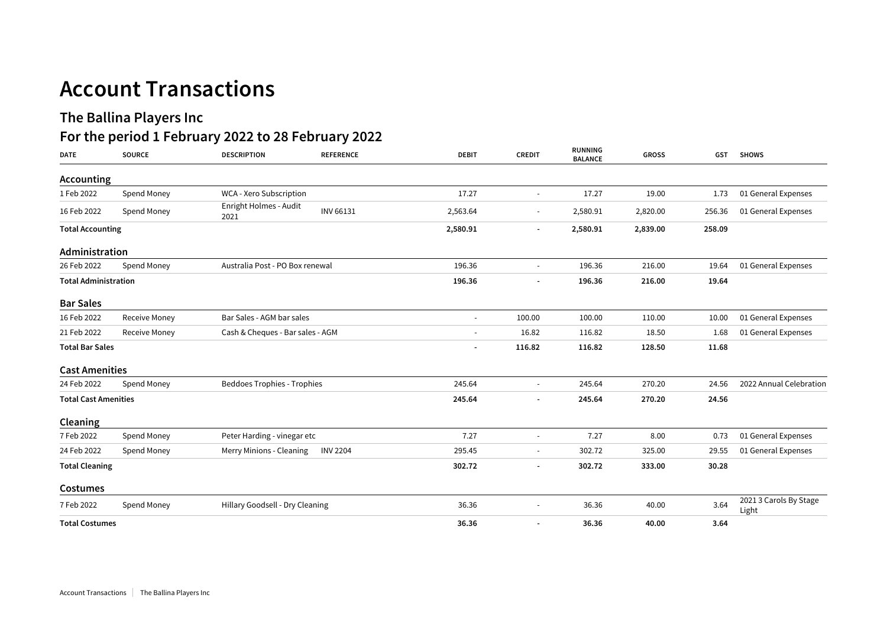## **Account Transactions**

## **The Ballina Players Inc**

## **For the period 1 February 2022 to 28 February 2022**

| <b>DATE</b>                 | <b>SOURCE</b> | <b>DESCRIPTION</b>                 | <b>REFERENCE</b> | <b>DEBIT</b>   | <b>CREDIT</b>            | <b>RUNNING</b><br><b>BALANCE</b> | <b>GROSS</b> | <b>GST</b>          | <b>SHOWS</b>                    |
|-----------------------------|---------------|------------------------------------|------------------|----------------|--------------------------|----------------------------------|--------------|---------------------|---------------------------------|
| Accounting                  |               |                                    |                  |                |                          |                                  |              |                     |                                 |
| 1 Feb 2022                  | Spend Money   | WCA - Xero Subscription            |                  | 17.27          | $\sim$                   | 17.27                            | 19.00        | 1.73                | 01 General Expenses             |
| 16 Feb 2022                 | Spend Money   | Enright Holmes - Audit<br>2021     | INV 66131        | 2,563.64       | $\overline{\phantom{a}}$ | 2,580.91                         | 2,820.00     | 256.36              | 01 General Expenses             |
| <b>Total Accounting</b>     |               |                                    | 2,580.91         |                | 2,580.91                 | 2,839.00                         | 258.09       |                     |                                 |
| Administration              |               |                                    |                  |                |                          |                                  |              |                     |                                 |
| 26 Feb 2022                 | Spend Money   | Australia Post - PO Box renewal    | 196.36           | $\sim$         | 196.36                   | 216.00                           | 19.64        | 01 General Expenses |                                 |
| <b>Total Administration</b> |               |                                    | 196.36           |                | 196.36                   | 216.00                           | 19.64        |                     |                                 |
| <b>Bar Sales</b>            |               |                                    |                  |                |                          |                                  |              |                     |                                 |
| 16 Feb 2022                 | Receive Money | Bar Sales - AGM bar sales          |                  | $\overline{a}$ | 100.00                   | 100.00                           | 110.00       | 10.00               | 01 General Expenses             |
| 21 Feb 2022                 | Receive Money | Cash & Cheques - Bar sales - AGM   |                  | $\blacksquare$ | 16.82                    | 116.82                           | 18.50        | 1.68                | 01 General Expenses             |
| <b>Total Bar Sales</b>      |               |                                    |                  | 116.82         | 116.82                   | 128.50                           | 11.68        |                     |                                 |
| <b>Cast Amenities</b>       |               |                                    |                  |                |                          |                                  |              |                     |                                 |
| 24 Feb 2022                 | Spend Money   | <b>Beddoes Trophies - Trophies</b> |                  | 245.64         | $\overline{\phantom{a}}$ | 245.64                           | 270.20       | 24.56               | 2022 Annual Celebration         |
| <b>Total Cast Amenities</b> |               |                                    | 245.64           |                | 245.64                   | 270.20                           | 24.56        |                     |                                 |
| Cleaning                    |               |                                    |                  |                |                          |                                  |              |                     |                                 |
| 7 Feb 2022                  | Spend Money   | Peter Harding - vinegar etc        |                  | 7.27           | $\overline{\phantom{a}}$ | 7.27                             | 8.00         | 0.73                | 01 General Expenses             |
| 24 Feb 2022                 | Spend Money   | Merry Minions - Cleaning           | <b>INV 2204</b>  | 295.45         |                          | 302.72                           | 325.00       | 29.55               | 01 General Expenses             |
| <b>Total Cleaning</b>       |               |                                    |                  | 302.72         | $\overline{\phantom{a}}$ | 302.72                           | 333.00       | 30.28               |                                 |
| Costumes                    |               |                                    |                  |                |                          |                                  |              |                     |                                 |
| 7 Feb 2022                  | Spend Money   | Hillary Goodsell - Dry Cleaning    |                  | 36.36          | $\overline{\phantom{a}}$ | 36.36                            | 40.00        | 3.64                | 2021 3 Carols By Stage<br>Light |
| <b>Total Costumes</b>       |               |                                    | 36.36            |                | 36.36                    | 40.00                            | 3.64         |                     |                                 |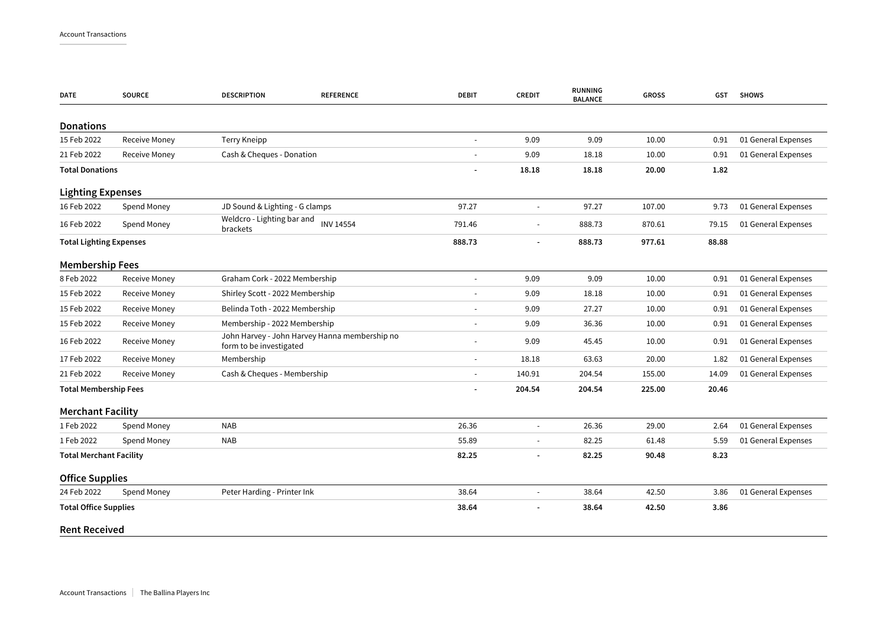| <b>DATE</b>                    | <b>SOURCE</b>        | <b>DESCRIPTION</b>                                                       | <b>REFERENCE</b> | <b>DEBIT</b>             | <b>CREDIT</b>            | RUNNING<br><b>BALANCE</b> | <b>GROSS</b> | GST   | <b>SHOWS</b>        |
|--------------------------------|----------------------|--------------------------------------------------------------------------|------------------|--------------------------|--------------------------|---------------------------|--------------|-------|---------------------|
| <b>Donations</b>               |                      |                                                                          |                  |                          |                          |                           |              |       |                     |
| 15 Feb 2022                    | Receive Money        | <b>Terry Kneipp</b>                                                      |                  | $\blacksquare$           | 9.09                     | 9.09                      | 10.00        | 0.91  | 01 General Expenses |
| 21 Feb 2022                    | <b>Receive Money</b> | Cash & Cheques - Donation                                                |                  | $\overline{\phantom{a}}$ | 9.09                     | 18.18                     | 10.00        | 0.91  | 01 General Expenses |
| <b>Total Donations</b>         |                      |                                                                          |                  |                          | 18.18                    | 18.18                     | 20.00        | 1.82  |                     |
| <b>Lighting Expenses</b>       |                      |                                                                          |                  |                          |                          |                           |              |       |                     |
| 16 Feb 2022                    | Spend Money          | JD Sound & Lighting - G clamps                                           |                  | 97.27                    | $\sim$                   | 97.27                     | 107.00       | 9.73  | 01 General Expenses |
| 16 Feb 2022                    | Spend Money          | Weldcro - Lighting bar and<br><b>INV 14554</b><br>brackets               |                  | 791.46                   | $\overline{\phantom{a}}$ | 888.73                    | 870.61       | 79.15 | 01 General Expenses |
| <b>Total Lighting Expenses</b> |                      |                                                                          |                  | 888.73                   |                          | 888.73                    | 977.61       | 88.88 |                     |
| <b>Membership Fees</b>         |                      |                                                                          |                  |                          |                          |                           |              |       |                     |
| 8 Feb 2022                     | <b>Receive Money</b> | Graham Cork - 2022 Membership                                            |                  | $\blacksquare$           | 9.09                     | 9.09                      | 10.00        | 0.91  | 01 General Expenses |
| 15 Feb 2022                    | <b>Receive Money</b> | Shirley Scott - 2022 Membership                                          |                  | $\overline{\phantom{a}}$ | 9.09                     | 18.18                     | 10.00        | 0.91  | 01 General Expenses |
| 15 Feb 2022                    | <b>Receive Money</b> | Belinda Toth - 2022 Membership                                           |                  |                          | 9.09                     | 27.27                     | 10.00        | 0.91  | 01 General Expenses |
| 15 Feb 2022                    | <b>Receive Money</b> | Membership - 2022 Membership                                             |                  | $\overline{\phantom{a}}$ | 9.09                     | 36.36                     | 10.00        | 0.91  | 01 General Expenses |
| 16 Feb 2022                    | Receive Money        | John Harvey - John Harvey Hanna membership no<br>form to be investigated |                  |                          | 9.09                     | 45.45                     | 10.00        | 0.91  | 01 General Expenses |
| 17 Feb 2022                    | Receive Money        | Membership                                                               |                  | $\overline{\phantom{a}}$ | 18.18                    | 63.63                     | 20.00        | 1.82  | 01 General Expenses |
| 21 Feb 2022                    | Receive Money        | Cash & Cheques - Membership                                              |                  | $\blacksquare$           | 140.91                   | 204.54                    | 155.00       | 14.09 | 01 General Expenses |
| <b>Total Membership Fees</b>   |                      |                                                                          |                  | $\overline{\phantom{a}}$ | 204.54                   | 204.54                    | 225.00       | 20.46 |                     |
| <b>Merchant Facility</b>       |                      |                                                                          |                  |                          |                          |                           |              |       |                     |
| 1 Feb 2022                     | Spend Money          | <b>NAB</b>                                                               |                  | 26.36                    | $\overline{\phantom{a}}$ | 26.36                     | 29.00        | 2.64  | 01 General Expenses |
| 1 Feb 2022                     | Spend Money          | <b>NAB</b>                                                               |                  | 55.89                    |                          | 82.25                     | 61.48        | 5.59  | 01 General Expenses |
| <b>Total Merchant Facility</b> |                      |                                                                          |                  | 82.25                    |                          | 82.25                     | 90.48        | 8.23  |                     |
| <b>Office Supplies</b>         |                      |                                                                          |                  |                          |                          |                           |              |       |                     |
| 24 Feb 2022                    | Spend Money          | Peter Harding - Printer Ink                                              |                  | 38.64                    | $\sim$                   | 38.64                     | 42.50        | 3.86  | 01 General Expenses |
| <b>Total Office Supplies</b>   |                      |                                                                          |                  | 38.64                    |                          | 38.64                     | 42.50        | 3.86  |                     |
| <b>Rent Received</b>           |                      |                                                                          |                  |                          |                          |                           |              |       |                     |